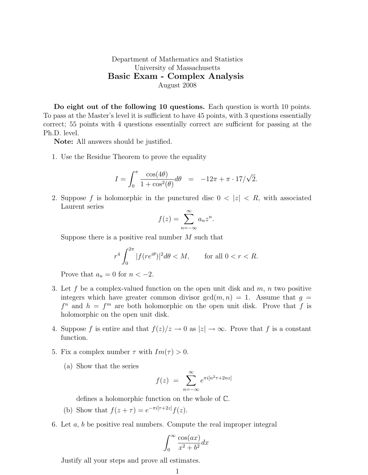## Department of Mathematics and Statistics University of Massachusetts Basic Exam - Complex Analysis August 2008

Do eight out of the following 10 questions. Each question is worth 10 points. To pass at the Master's level it is sufficient to have 45 points, with 3 questions essentially correct; 55 points with 4 questions essentially correct are sufficient for passing at the Ph.D. level.

Note: All answers should be justified.

1. Use the Residue Theorem to prove the equality

$$
I = \int_0^{\pi} \frac{\cos(4\theta)}{1 + \cos^2(\theta)} d\theta = -12\pi + \pi \cdot 17/\sqrt{2}.
$$

2. Suppose f is holomorphic in the punctured disc  $0 < |z| < R$ , with associated Laurent series

$$
f(z) = \sum_{n = -\infty}^{\infty} a_n z^n.
$$

Suppose there is a positive real number  $M$  such that

$$
r^4 \int_0^{2\pi} |f(re^{i\theta})|^2 d\theta < M, \qquad \text{for all } 0 < r < R.
$$

Prove that  $a_n = 0$  for  $n < -2$ .

- 3. Let f be a complex-valued function on the open unit disk and  $m$ ,  $n$  two positive integers which have greater common divisor  $gcd(m, n) = 1$ . Assume that  $g =$  $f^n$  and  $h = f^m$  are both holomorphic on the open unit disk. Prove that f is holomorphic on the open unit disk.
- 4. Suppose f is entire and that  $f(z)/z \to 0$  as  $|z| \to \infty$ . Prove that f is a constant function.
- 5. Fix a complex number  $\tau$  with  $Im(\tau) > 0$ .
	- (a) Show that the series

$$
f(z) = \sum_{n=-\infty}^{\infty} e^{\pi i [n^2 \tau + 2nz]}
$$

defines a holomorphic function on the whole of C.

- (b) Show that  $f(z + \tau) = e^{-\pi i [\tau + 2z]} f(z)$ .
- 6. Let  $a, b$  be positive real numbers. Compute the real improper integral

$$
\int_0^\infty \frac{\cos(ax)}{x^2 + b^2} dx
$$

Justify all your steps and prove all estimates.